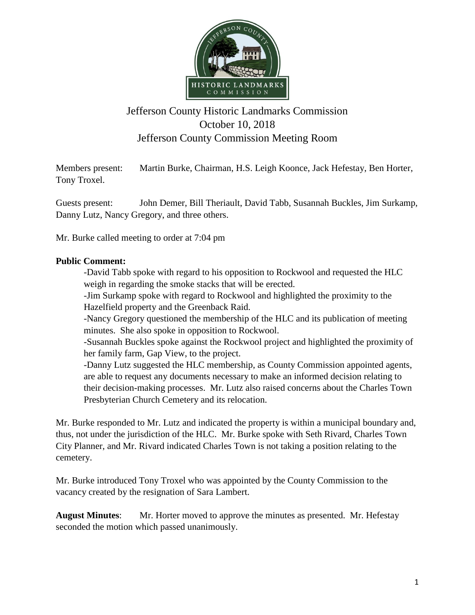

## Jefferson County Historic Landmarks Commission October 10, 2018 Jefferson County Commission Meeting Room

Members present: Martin Burke, Chairman, H.S. Leigh Koonce, Jack Hefestay, Ben Horter, Tony Troxel.

Guests present: John Demer, Bill Theriault, David Tabb, Susannah Buckles, Jim Surkamp, Danny Lutz, Nancy Gregory, and three others.

Mr. Burke called meeting to order at 7:04 pm

## **Public Comment:**

-David Tabb spoke with regard to his opposition to Rockwool and requested the HLC weigh in regarding the smoke stacks that will be erected.

-Jim Surkamp spoke with regard to Rockwool and highlighted the proximity to the Hazelfield property and the Greenback Raid.

-Nancy Gregory questioned the membership of the HLC and its publication of meeting minutes. She also spoke in opposition to Rockwool.

-Susannah Buckles spoke against the Rockwool project and highlighted the proximity of her family farm, Gap View, to the project.

-Danny Lutz suggested the HLC membership, as County Commission appointed agents, are able to request any documents necessary to make an informed decision relating to their decision-making processes. Mr. Lutz also raised concerns about the Charles Town Presbyterian Church Cemetery and its relocation.

Mr. Burke responded to Mr. Lutz and indicated the property is within a municipal boundary and, thus, not under the jurisdiction of the HLC. Mr. Burke spoke with Seth Rivard, Charles Town City Planner, and Mr. Rivard indicated Charles Town is not taking a position relating to the cemetery.

Mr. Burke introduced Tony Troxel who was appointed by the County Commission to the vacancy created by the resignation of Sara Lambert.

**August Minutes**: Mr. Horter moved to approve the minutes as presented. Mr. Hefestay seconded the motion which passed unanimously.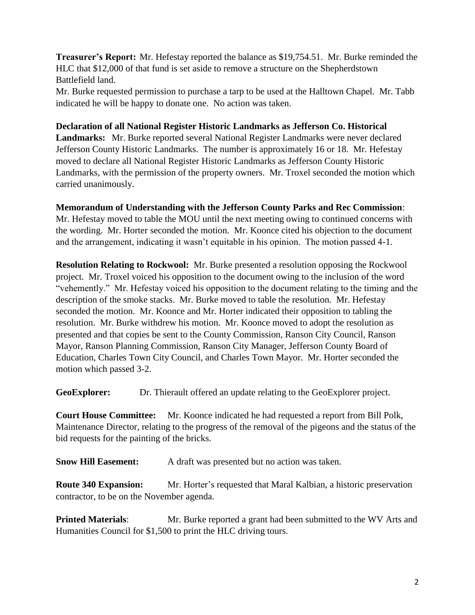**Treasurer's Report:** Mr. Hefestay reported the balance as \$19,754.51. Mr. Burke reminded the HLC that \$12,000 of that fund is set aside to remove a structure on the Shepherdstown Battlefield land.

Mr. Burke requested permission to purchase a tarp to be used at the Halltown Chapel. Mr. Tabb indicated he will be happy to donate one. No action was taken.

**Declaration of all National Register Historic Landmarks as Jefferson Co. Historical Landmarks:** Mr. Burke reported several National Register Landmarks were never declared Jefferson County Historic Landmarks. The number is approximately 16 or 18. Mr. Hefestay moved to declare all National Register Historic Landmarks as Jefferson County Historic Landmarks, with the permission of the property owners. Mr. Troxel seconded the motion which carried unanimously.

## **Memorandum of Understanding with the Jefferson County Parks and Rec Commission**:

Mr. Hefestay moved to table the MOU until the next meeting owing to continued concerns with the wording. Mr. Horter seconded the motion. Mr. Koonce cited his objection to the document and the arrangement, indicating it wasn't equitable in his opinion. The motion passed 4-1.

**Resolution Relating to Rockwool:** Mr. Burke presented a resolution opposing the Rockwool project. Mr. Troxel voiced his opposition to the document owing to the inclusion of the word "vehemently." Mr. Hefestay voiced his opposition to the document relating to the timing and the description of the smoke stacks. Mr. Burke moved to table the resolution. Mr. Hefestay seconded the motion. Mr. Koonce and Mr. Horter indicated their opposition to tabling the resolution. Mr. Burke withdrew his motion. Mr. Koonce moved to adopt the resolution as presented and that copies be sent to the County Commission, Ranson City Council, Ranson Mayor, Ranson Planning Commission, Ranson City Manager, Jefferson County Board of Education, Charles Town City Council, and Charles Town Mayor. Mr. Horter seconded the motion which passed 3-2.

GeoExplorer: Dr. Thierault offered an update relating to the GeoExplorer project.

**Court House Committee:** Mr. Koonce indicated he had requested a report from Bill Polk, Maintenance Director, relating to the progress of the removal of the pigeons and the status of the bid requests for the painting of the bricks.

**Snow Hill Easement:** A draft was presented but no action was taken.

**Route 340 Expansion:** Mr. Horter's requested that Maral Kalbian, a historic preservation contractor, to be on the November agenda.

**Printed Materials:** Mr. Burke reported a grant had been submitted to the WV Arts and Humanities Council for \$1,500 to print the HLC driving tours.